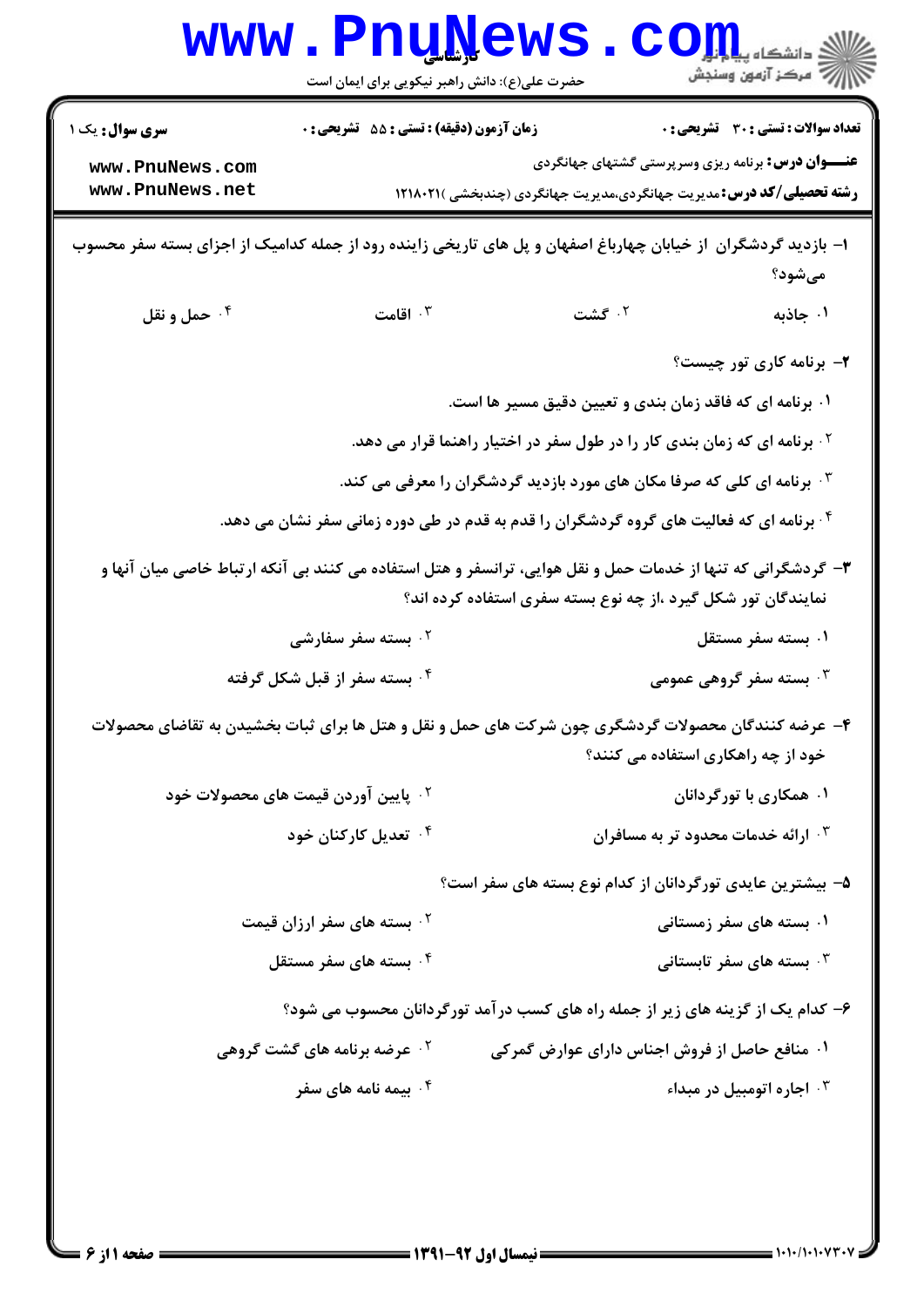| <b>WWW</b>                                                                                                                                                                    | <b>Fudile</b><br>حضرت علی(ع): دانش راهبر نیکویی برای ایمان است                      |                                                                                                      | د دانشگاه پی <mark>اج</mark> ت <mark>و</mark> ر<br>7' مرڪز آزمون وسنڊش                             |
|-------------------------------------------------------------------------------------------------------------------------------------------------------------------------------|-------------------------------------------------------------------------------------|------------------------------------------------------------------------------------------------------|----------------------------------------------------------------------------------------------------|
| <b>سری سوال :</b> یک ۱                                                                                                                                                        | زمان آزمون (دقیقه) : تستی : 55 آتشریحی : 0                                          |                                                                                                      | تعداد سوالات : تستى : 30 - تشريحي : 0<br><b>عنـــوان درس:</b> برنامه ریزی وسرپرستی گشتهای جهانگردی |
| www.PnuNews.com<br>www.PnuNews.net                                                                                                                                            |                                                                                     | <b>رشته تحصیلی/کد درس:</b> مدیریت جهانگردی،مدیریت جهانگردی (چندبخشی )۱۲۱۸۰۲۱                         |                                                                                                    |
| ا– بازدید گردشگران از خیابان چهارباغ اصفهان و پل های تاریخی زاینده رود از جمله کدامیک از اجزای بسته سفر محسوب                                                                 |                                                                                     |                                                                                                      | مىشود؟                                                                                             |
| ۰۴ حمل و نقل                                                                                                                                                                  | اقامت $\cdot$ ۳                                                                     | ۰۲ گشت                                                                                               | ۰۱ جاذبه                                                                                           |
|                                                                                                                                                                               |                                                                                     |                                                                                                      | ۲- برنامه کاری تور چیست؟                                                                           |
|                                                                                                                                                                               |                                                                                     | ۰۱ برنامه ای که فاقد زمان بندی و تعیین دقیق مسیر ها است.                                             |                                                                                                    |
|                                                                                                                                                                               |                                                                                     | <sup>۲</sup> ۰ برنامه ای که زمان بندی کار را در طول سفر در اختیار راهنما قرار می دهد.                |                                                                                                    |
|                                                                                                                                                                               | ۰ <sup>۳</sup> برنامه ای کلی که صرفا مکان های مورد بازدید گردشگران را معرفی می کند. |                                                                                                      |                                                                                                    |
|                                                                                                                                                                               |                                                                                     | <sup>۴</sup> . برنامه ای که فعالیت های گروه گردشگران را قدم به قدم در طی دوره زمانی سفر نشان می دهد. |                                                                                                    |
| ۳- گردشگرانی که تنها از خدمات حمل و نقل هوایی، ترانسفر و هتل استفاده می کنند بی آنکه ارتباط خاصی میان آنها و<br>نمایندگان تور شکل گیرد ،از چه نوع بسته سفری استفاده کرده اند؟ |                                                                                     |                                                                                                      |                                                                                                    |
|                                                                                                                                                                               | ۰ <sup>۲</sup> بسته سفر سفارشی                                                      |                                                                                                      | ۰۱ بسته سفر مستقل                                                                                  |
|                                                                                                                                                                               | ۰ <sup>۴</sup> بسته سفر از قبل شکل گرفته<br>بسته سفر گروهی عمومی $\cdot$            |                                                                                                      |                                                                                                    |
|                                                                                                                                                                               |                                                                                     | ۴– عرضه کنندگان محصولات گردشگری چون شرکت های حمل و نقل و هتل ها برای ثبات بخشیدن به تقاضای محصولات   |                                                                                                    |
|                                                                                                                                                                               |                                                                                     |                                                                                                      | خود از چه راهکاری استفاده می کنند؟                                                                 |
|                                                                                                                                                                               | <sup>۲ .</sup> پایین آوردن قیمت های محصولات خود                                     |                                                                                                      | ۰۱ همکاری با تورگردانان                                                                            |
|                                                                                                                                                                               | ۰ <sup>۴</sup> تعدیل کارکنان خود                                                    |                                                                                                      | ۰۳ ارائه خدمات محدود تر به مسافران                                                                 |
| ۵– بیشترین عایدی تورگردانان از کدام نوع بسته های سفر است؟                                                                                                                     |                                                                                     |                                                                                                      |                                                                                                    |
|                                                                                                                                                                               | <sup>۲ .</sup> بسته های سفر ارزان قیمت                                              |                                                                                                      | ۰۱ بسته های سفر زمستانی                                                                            |
|                                                                                                                                                                               | ۰۴ بسته های سفر مستقل                                                               |                                                                                                      | ۰۳ بسته های سفر تابستانی $\cdot$                                                                   |
| ۶– کدام یک از گزینه های زیر از جمله راه های کسب درآمد تورگردانان محسوب می شود؟                                                                                                |                                                                                     |                                                                                                      |                                                                                                    |
|                                                                                                                                                                               | <b>گ عرضه برنامه های گشت گروهی</b>                                                  | ۰۱ منافع حاصل از فروش اجناس دارای عوارض گمرکی                                                        |                                                                                                    |
|                                                                                                                                                                               | ۰۴ بیمه نامه های سفر                                                                |                                                                                                      | اجاره اتومبيل در مبداء $\cdot$                                                                     |
|                                                                                                                                                                               |                                                                                     |                                                                                                      |                                                                                                    |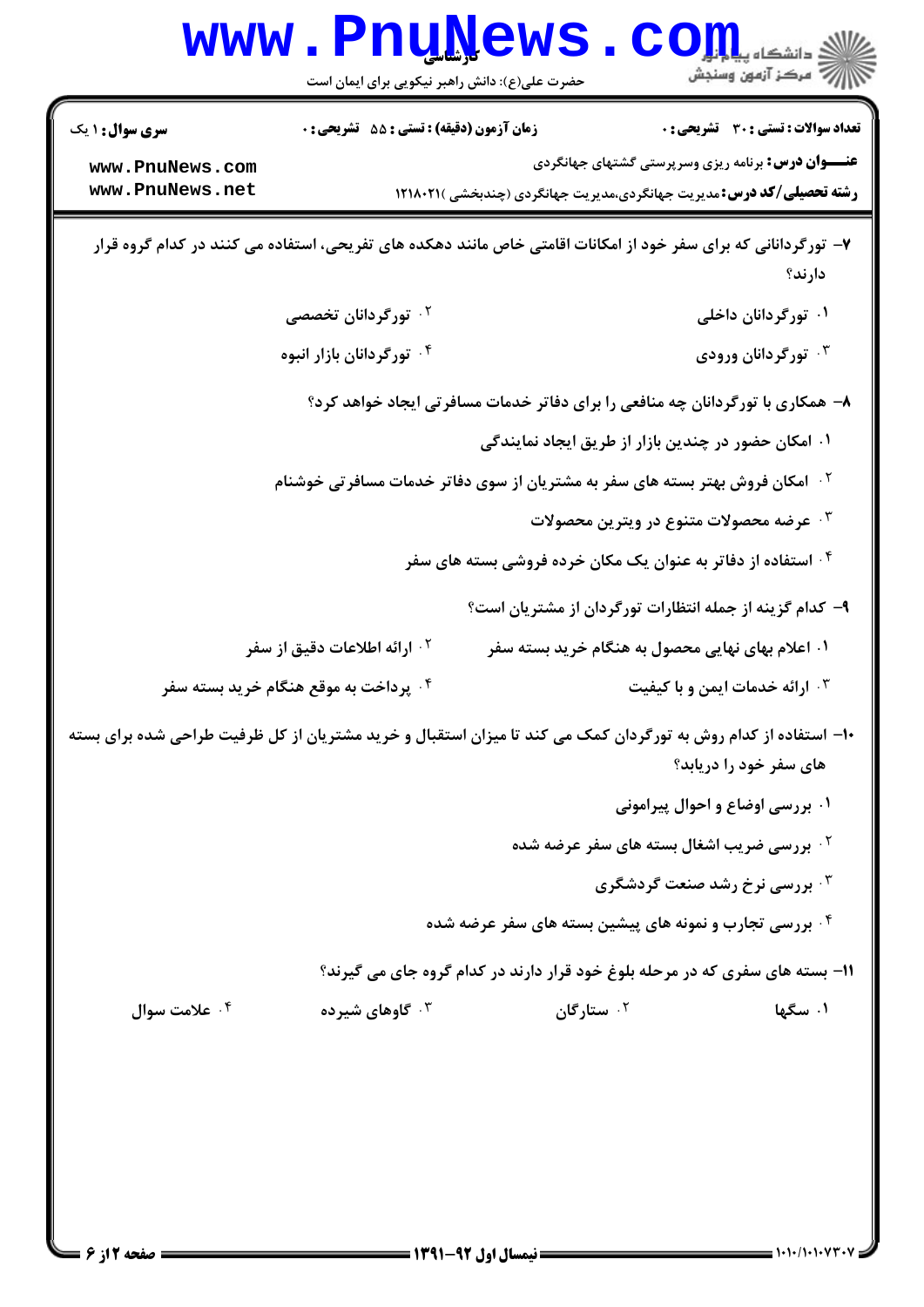|                                                                                                                          | <b>www.PnuNews</b>                                                                                                                       |                                                                              | $\mathbf{CO}$ ll den                                      | رآ مرڪز آزمون وسنڊش                   |
|--------------------------------------------------------------------------------------------------------------------------|------------------------------------------------------------------------------------------------------------------------------------------|------------------------------------------------------------------------------|-----------------------------------------------------------|---------------------------------------|
|                                                                                                                          | حضرت علی(ع): دانش راهبر نیکویی برای ایمان است                                                                                            |                                                                              |                                                           |                                       |
| <b>سری سوال : ۱ یک</b>                                                                                                   | زمان آزمون (دقیقه) : تستی : 55 آتشریحی : 0                                                                                               |                                                                              |                                                           | تعداد سوالات : تستي : 30 ٪ تشريحي : 0 |
| www.PnuNews.com<br>www.PnuNews.net                                                                                       |                                                                                                                                          |                                                                              | <b>عنـــوان درس:</b> برنامه ریزی وسرپرستی گشتهای جهانگردی |                                       |
|                                                                                                                          | <b>رشته تحصیلی/کد درس:</b> مدیریت جهانگردی،مدیریت جهانگردی (چندبخشی )۱۲۱۸۰۲۱                                                             |                                                                              |                                                           |                                       |
| ۷- تورگردانانی که برای سفر خود از امکانات اقامتی خاص مانند دهکده های تفریحی، استفاده می کنند در کدام گروه قرار<br>دارند؟ |                                                                                                                                          |                                                                              |                                                           |                                       |
|                                                                                                                          | ۰ <sup>۲</sup> تورگردانان تخصصی                                                                                                          |                                                                              |                                                           | ۰۱ تورگردانان داخلی                   |
| ۰۴ تورگردانان بازار انبوه                                                                                                |                                                                                                                                          |                                                                              |                                                           | ۰۳ تورگردانان ورودی                   |
| ۸– همکاری با تورگردانان چه منافعی را برای دفاتر خدمات مسافرتی ایجاد خواهد کرد؟                                           |                                                                                                                                          |                                                                              |                                                           |                                       |
|                                                                                                                          |                                                                                                                                          |                                                                              | ۰۱ امکان حضور در چندین بازار از طریق ایجاد نمایندگی       |                                       |
| <sup>۲ .</sup> امکان فروش بهتر بسته های سفر به مشتریان از سوی دفاتر خدمات مسافرتی خوشنام                                 |                                                                                                                                          |                                                                              |                                                           |                                       |
|                                                                                                                          | ۰۳ عرضه محصولات متنوع در ويترين محصولات                                                                                                  |                                                                              |                                                           |                                       |
|                                                                                                                          | ۰۴ استفاده از دفاتر به عنوان یک مکان خرده فروشی بسته های سفر                                                                             |                                                                              |                                                           |                                       |
|                                                                                                                          |                                                                                                                                          | ۹- کدام گزینه از جمله انتظارات تورگردان از مشتریان است؟                      |                                                           |                                       |
|                                                                                                                          | <sup>۲</sup> ۰ ارائه اطلاعات دقیق از سفر                                                                                                 |                                                                              | ۰۱ اعلام بهای نهایی محصول به هنگام خرید بسته سفر          |                                       |
|                                                                                                                          | ۰۴ پرداخت به موقع هنگام خرید بسته سفر                                                                                                    |                                                                              | ۰۳ ارائه خدمات ایمن و با کیفیت                            |                                       |
|                                                                                                                          | ۱۰– استفاده از کدام روش به تورگردان کمک می کند تا میزان استقبال و خرید مشتریان از کل ظرفیت طراحی شده برای بسته<br>های سفر خود را دریابد؟ |                                                                              |                                                           |                                       |
|                                                                                                                          |                                                                                                                                          |                                                                              | ۰۱ بررسی اوضاع و احوال پیرامونی                           |                                       |
|                                                                                                                          |                                                                                                                                          |                                                                              | <b>گ بررسی ضریب اشغال بسته های سفر عرضه شده</b>           |                                       |
|                                                                                                                          |                                                                                                                                          |                                                                              | <b>۰۳ بررسی نرخ رشد صنعت گردشگری</b>                      |                                       |
|                                                                                                                          |                                                                                                                                          | ۰۴ بررسی تجارب و نمونه های پیشین بسته های سفر عرضه شده                       |                                                           |                                       |
|                                                                                                                          |                                                                                                                                          | 1۱- بسته های سفری که در مرحله بلوغ خود قرار دارند در کدام گروه جای می گیرند؟ |                                                           |                                       |
| ۰۴ علامت سوال                                                                                                            | ۰۳ گاوهای شیرده                                                                                                                          | ۰ <sup>۲</sup> ستارگان                                                       |                                                           | ۰۱ سگها                               |
|                                                                                                                          |                                                                                                                                          |                                                                              |                                                           |                                       |
|                                                                                                                          |                                                                                                                                          |                                                                              |                                                           |                                       |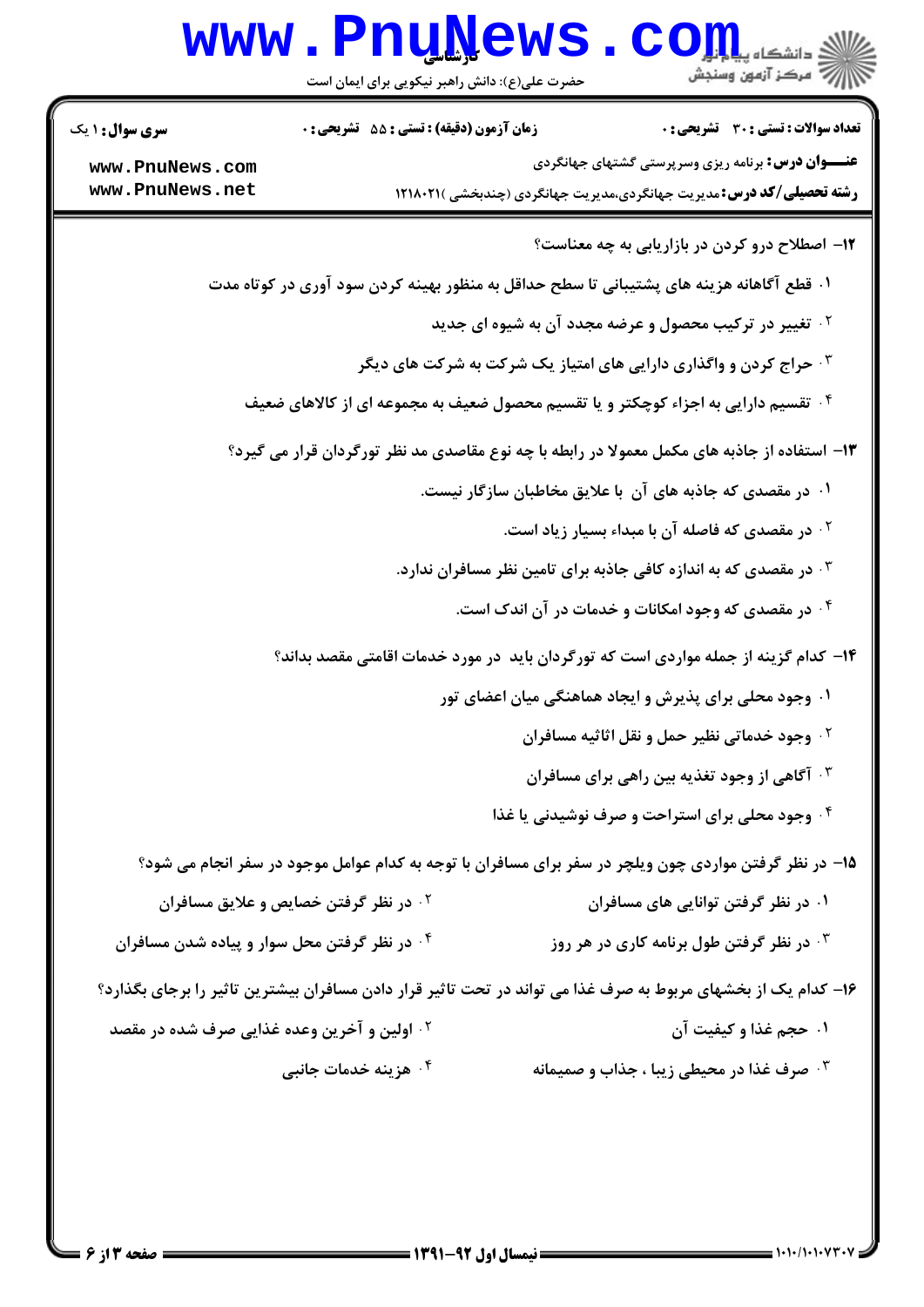| WWW.Pnullews.Com<br>حضرت علی(ع): دانش راهبر نیکویی برای ایمان است |  |
|-------------------------------------------------------------------|--|
|-------------------------------------------------------------------|--|

| <b>سری سوال : ۱ یک</b>                                  | <b>زمان آزمون (دقیقه) : تستی : 55 تشریحی : 0</b>  | <b>تعداد سوالات : تستي : 30 ٪ تشريحي : 0</b>                                                                  |
|---------------------------------------------------------|---------------------------------------------------|---------------------------------------------------------------------------------------------------------------|
| www.PnuNews.com                                         |                                                   | <b>عنـــوان درس:</b> برنامه ریزی وسرپرستی گشتهای جهانگردی                                                     |
| www.PnuNews.net                                         |                                                   | <b>رشته تحصیلی/کد درس:</b> مدیریت جهانگردی،مدیریت جهانگردی (چندبخشی )۱۲۱۸۰۲۱                                  |
|                                                         |                                                   | ۱۲- اصطلاح درو کردن در بازاریابی به چه معناست؟                                                                |
|                                                         |                                                   | ۰۱ قطع آگاهانه هزینه های پشتیبانی تا سطح حداقل به منظور بهینه کردن سود آوری در کوتاه مدت                      |
|                                                         |                                                   | <b>گ تغییر در ترکیب محصول و عرضه مجدد آن به شیوه ای جدید</b>                                                  |
|                                                         |                                                   | <b>۳ ـ حراج کردن و واگذاری دارایی های امتیاز یک شرکت به شرکت های دیگر</b>                                     |
|                                                         |                                                   | ۰ <sup>۴</sup> تقسیم دارایی به اجزاء کوچکتر و یا تقسیم محصول ضعیف به مجموعه ای از کالاهای ضعیف                |
|                                                         |                                                   | ۱۳- استفاده از جاذبه های مکمل معمولا در رابطه با چه نوع مقاصدی مد نظر تورگردان قرار می گیرد؟                  |
|                                                         |                                                   | ۰۱ در مقصدی که جاذبه های آن با علایق مخاطبان سازگار نیست.                                                     |
|                                                         |                                                   | ۰ <sup>۲</sup> در مقصدی که فاصله آن با مبداء بسیار زیاد است.                                                  |
|                                                         |                                                   | در مقصدی که به اندازه کافی جاذبه برای تامین نظر مسافران ندارد. $\cdot$                                        |
|                                                         |                                                   | ۰۴ در مقصدی که وجود امکانات و خدمات در آن اندک است.                                                           |
|                                                         |                                                   | ۱۴– کدام گزینه از جمله مواردی است که تورگردان باید در مورد خدمات اقامتی مقصد بداند؟                           |
|                                                         |                                                   | ۰۱ وجود محلی برای پذیرش و ایجاد هماهنگی میان اعضای تور                                                        |
|                                                         |                                                   | <b>گ وجود خدماتی نظیر حمل و نقل اثاثیه مسافران</b>                                                            |
|                                                         |                                                   | <b>۰۳ آگاهی از وجود تغذیه بین راهی برای مسافران</b>                                                           |
|                                                         |                                                   | ۰۴ وجود محلی برای استراحت و صرف نوشیدنی یا غذا                                                                |
|                                                         |                                                   | ۱۵– در نظر گرفتن مواردی چون ویلچر در سفر برای مسافران با توجه به کدام عوامل موجود در سفر انجام می شود؟        |
|                                                         | <sup>7</sup> · در نظر گرفتن خصایص و علایق مسافران | ۰۱ در نظر گرفتن توانایی های مسافران                                                                           |
| ۰۴ در نظر گرفتن محل سوار و پیاده شدن مسافران            |                                                   | در نظر گرفتن طول برنامه کاری در هر روز $\cdot$ "                                                              |
|                                                         |                                                   | ۱۶– کدام یک از بخشهای مربوط به صرف غذا می تواند در تحت تاثیر قرار دادن مسافران بیشترین تاثیر را برجای بگذارد؟ |
| <sup>۲ .</sup> اولین و آخرین وعده غذایی صرف شده در مقصد |                                                   | ۰۱ حجم غذا و کیفیت آن                                                                                         |
|                                                         | ۰ <sup>۴</sup> هزینه خدمات جانبی                  | <b>۴ . صرف غذا در محیطی زیبا ، جذاب و صمیمانه</b>                                                             |
|                                                         |                                                   |                                                                                                               |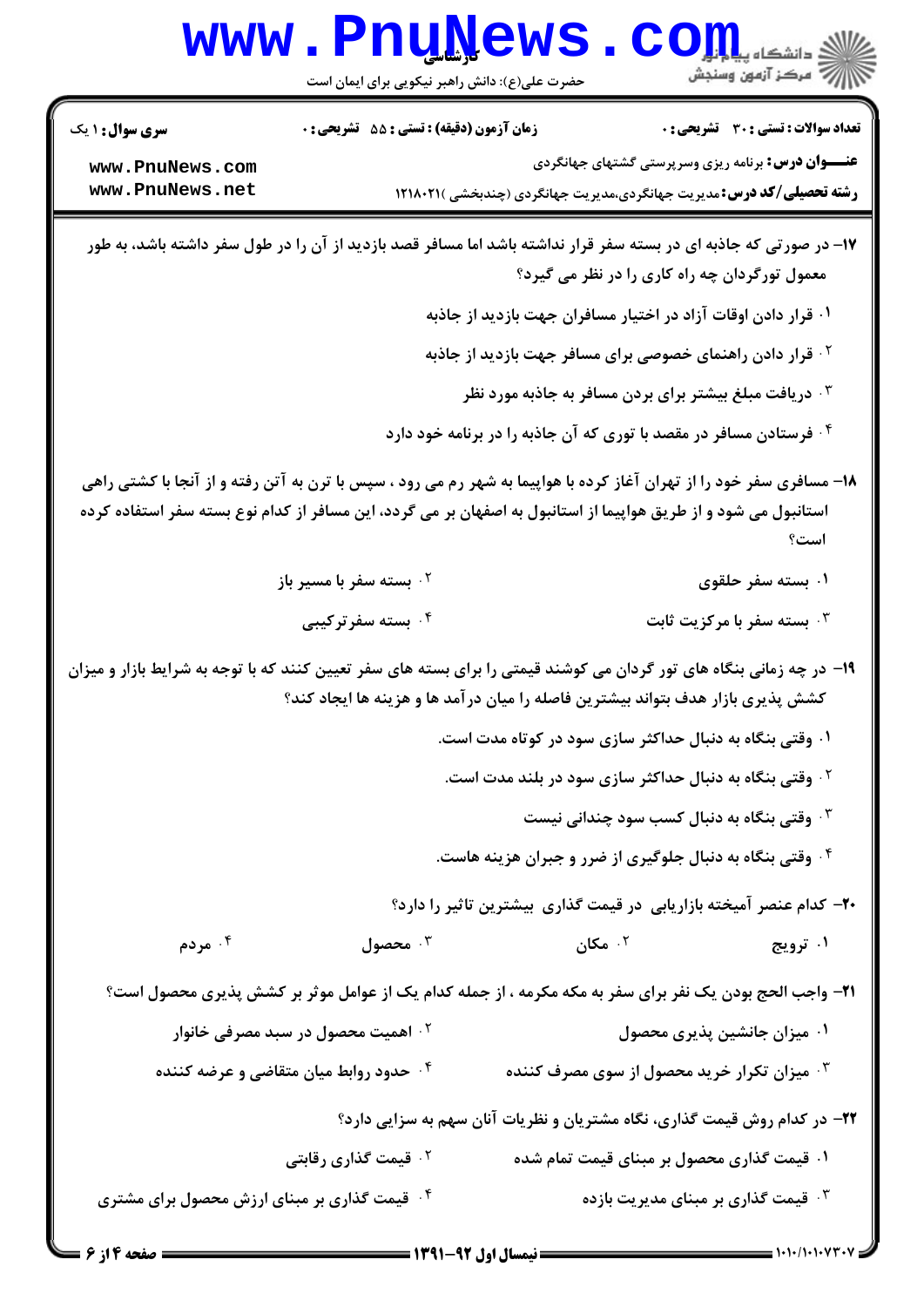|                                                                                                                      | <b>www.PnuNews</b><br>حضرت علی(ع): دانش راهبر نیکویی برای ایمان است                                             |                                                                       | الی دانشکاه پیام اول<br>ارگ مرکز آزمون وسنجش                                                                                                                       |  |
|----------------------------------------------------------------------------------------------------------------------|-----------------------------------------------------------------------------------------------------------------|-----------------------------------------------------------------------|--------------------------------------------------------------------------------------------------------------------------------------------------------------------|--|
| <b>سری سوال : ۱ یک</b>                                                                                               | زمان آزمون (دقیقه) : تستی : 55 تشریحی : 0                                                                       |                                                                       | <b>تعداد سوالات : تستی : 30 ٪ تشریحی : 0</b>                                                                                                                       |  |
| www.PnuNews.com<br>www.PnuNews.net                                                                                   |                                                                                                                 |                                                                       | <b>عنـــوان درس:</b> برنامه ریزی وسرپرستی گشتهای جهانگردی<br><b>رشته تحصیلی/کد درس:</b> مدیریت جهانگردی،مدیریت جهانگردی (چندبخشی )۱۲۱۸۰۲۱                          |  |
|                                                                                                                      |                                                                                                                 |                                                                       | ۱۷– در صورتی که جاذبه ای در بسته سفر قرار نداشته باشد اما مسافر قصد بازدید از آن را در طول سفر داشته باشد، به طور<br>معمول تورگردان چه راه کاری را در نظر می گیرد؟ |  |
|                                                                                                                      |                                                                                                                 | ۰۱ قرار دادن اوقات آزاد در اختیار مسافران جهت بازدید از جاذبه         |                                                                                                                                                                    |  |
|                                                                                                                      |                                                                                                                 | <sup>۲ .</sup> قرار دادن راهنمای خصوصی برای مسافر جهت بازدید از جاذبه |                                                                                                                                                                    |  |
|                                                                                                                      |                                                                                                                 | دریافت مبلغ بیشتر برای بردن مسافر به جاذبه مورد نظر $\cdot$           |                                                                                                                                                                    |  |
|                                                                                                                      |                                                                                                                 | ۰۴ فرستادن مسافر در مقصد با توری که آن جاذبه را در برنامه خود دارد    |                                                                                                                                                                    |  |
|                                                                                                                      | استانبول می شود و از طریق هواپیما از استانبول به اصفهان بر می گردد، این مسافر از کدام نوع بسته سفر استفاده کرده |                                                                       | ۱۸- مسافری سفر خود را از تهران آغاز کرده با هواپیما به شهر رم می رود ، سپس با ترن به آتن رفته و از آنجا با کشتی راهی<br>است؟                                       |  |
|                                                                                                                      | ۰ <sup>۲</sup> بسته سفر با مسیر باز                                                                             |                                                                       | ۰۱ بسته سفر حلقوی                                                                                                                                                  |  |
|                                                                                                                      | ۰۴ بسته سفرترکیبی                                                                                               |                                                                       | ۰۳ بسته سفر با مرکزیت ثابت                                                                                                                                         |  |
| ۱۹- در چه زمانی بنگاه های تور گردان می کوشند قیمتی را برای بسته های سفر تعیین کنند که با توجه به شرایط بازار و میزان | کشش پذیری بازار هدف بتواند بیشترین فاصله را میان درآمد ها و هزینه ها ایجاد کند؟                                 |                                                                       |                                                                                                                                                                    |  |
|                                                                                                                      |                                                                                                                 | ۰۱ وقتی بنگاه به دنبال حداکثر سازی سود در کوتاه مدت است.              |                                                                                                                                                                    |  |
|                                                                                                                      |                                                                                                                 | <sup>۲</sup> ۰ وقتی بنگاه به دنبال حداکثر سازی سود در بلند مدت است.   |                                                                                                                                                                    |  |
|                                                                                                                      |                                                                                                                 |                                                                       | وقتی بنگاه به دنبال کسب سود چندانی نیست $\cdot^{\texttt{w}}$                                                                                                       |  |
|                                                                                                                      |                                                                                                                 | ۰۴ وقتی بنگاه به دنبال جلوگیری از ضرر و جبران هزینه هاست.             |                                                                                                                                                                    |  |
|                                                                                                                      |                                                                                                                 |                                                                       | ۲۰- کدام عنصر آمیخته بازاریابی در قیمت گذاری بیشترین تاثیر را دارد؟                                                                                                |  |
| ۰۴ مردم                                                                                                              | محصول $\cdot$                                                                                                   | $\cdot$ ۵۰ مکان $\cdot$                                               | ۰۱ ترویج                                                                                                                                                           |  |
|                                                                                                                      |                                                                                                                 |                                                                       | <b>۲۱</b> - واجب الحج بودن یک نفر برای سفر به مکه مکرمه ، از جمله کدام یک از عوامل موثر بر کشش پذیری محصول است؟                                                    |  |
|                                                                                                                      | ۰ <sup>۲ -</sup> اهمیت محصول در سبد مصرفی خانوار                                                                |                                                                       | ۰۱ میزان جانشین پذیری محصول                                                                                                                                        |  |
|                                                                                                                      | ۰۴ حدود روابط میان متقاضی و عرضه کننده                                                                          |                                                                       | هیزان تکرار خرید محصول از سوی مصرف کننده $\cdot^{\textsf{\tiny{T}}}$                                                                                               |  |
|                                                                                                                      | ۲۲– در کدام روش قیمت گذاری، نگاه مشتریان و نظریات آنان سهم به سزایی دارد؟                                       |                                                                       |                                                                                                                                                                    |  |
|                                                                                                                      | ۰۲ قیمت گذاری رقابتی                                                                                            |                                                                       | ۰۱ قیمت گذاری محصول بر مبنای قیمت تمام شده                                                                                                                         |  |
| ۰۴ قیمت گذاری بر مبنای ارزش محصول برای مشتری                                                                         |                                                                                                                 |                                                                       | شمت گذاری بر مبنای مدیریت بازده $\cdot$                                                                                                                            |  |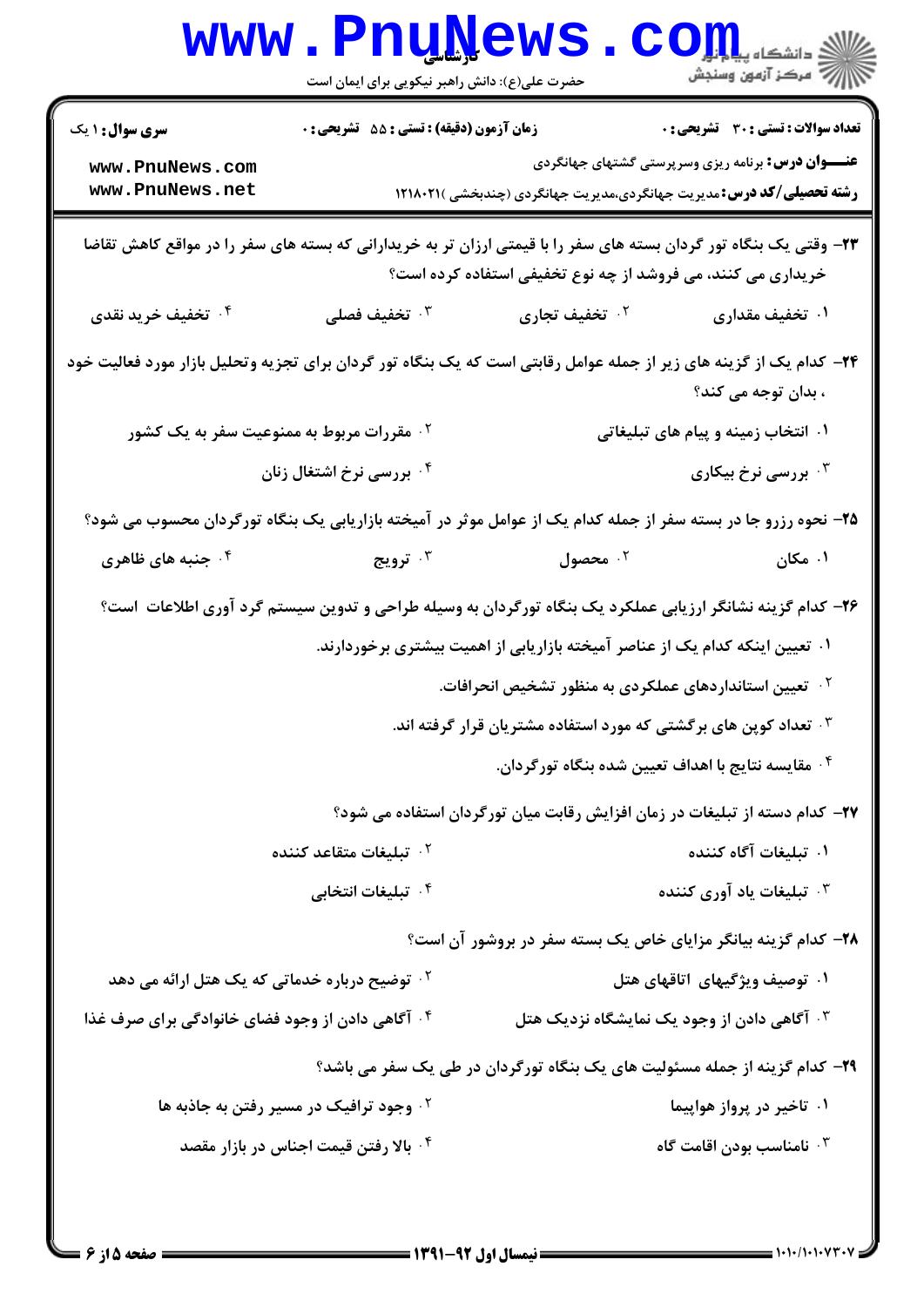|                                                                | <b>WWW.PNUWEWS</b><br>حضرت علی(ع): دانش راهبر نیکویی برای ایمان است |                                                                                                                                                                                   | $\text{COL}$ دانشگاه پیاب                    |
|----------------------------------------------------------------|---------------------------------------------------------------------|-----------------------------------------------------------------------------------------------------------------------------------------------------------------------------------|----------------------------------------------|
| <b>سری سوال : ۱ یک</b>                                         | زمان آزمون (دقیقه) : تستی : 55 آتشریحی : 0                          |                                                                                                                                                                                   | <b>تعداد سوالات : تستی : 30 ٪ تشریحی : 0</b> |
| www.PnuNews.com<br>www.PnuNews.net                             |                                                                     | <b>عنـــوان درس:</b> برنامه ریزی وسرپرستی گشتهای جهانگردی<br><b>رشته تحصیلی/کد درس:</b> مدیریت جهانگردی،مدیریت جهانگردی (چندبخشی )۱۲۱۸۰۲۱                                         |                                              |
|                                                                |                                                                     | ۲۳- وقتی یک بنگاه تور گردان بسته های سفر را با قیمتی ارزان تر به خریدارانی که بسته های سفر را در مواقع کاهش تقاضا<br>خریداری می کنند، می فروشد از چه نوع تخفیفی استفاده کرده است؟ |                                              |
| ۰۴ تخفیف خرید نقدی                                             | ۰ <sup>۳</sup> تخفیف فصلی                                           | ۰۲ تخفیف تجاری                                                                                                                                                                    | ۰۱ تخفیف مقداری                              |
|                                                                |                                                                     | ۲۴- کدام یک از گزینه های زیر از جمله عوامل رقابتی است که یک بنگاه تور گردان برای تجزیه وتحلیل بازار مورد فعالیت خود                                                               | ، بدان توجه می کند؟                          |
| ۰ <sup>۲</sup> مقررات مربوط به ممنوعیت سفر به یک کشور          |                                                                     |                                                                                                                                                                                   | ۰۱ انتخاب زمینه و پیام های تبلیغاتی          |
|                                                                | ۰۴ بررسی نرخ اشتغال زنان                                            |                                                                                                                                                                                   | ۰۳ بررسی نرخ بیکاری                          |
|                                                                |                                                                     | ۲۵– نحوه رزرو جا در بسته سفر از جمله کدام یک از عوامل موثر در آمیخته بازاریابی یک بنگاه تورگردان محسوب می شود؟                                                                    |                                              |
| ۰ <sup>۴</sup> جنبه های ظاهری                                  | ۰ <sup>۳</sup> ترویج                                                | ۰۲ محصول                                                                                                                                                                          | ۰۱ مکان                                      |
|                                                                |                                                                     | ۲۶- کدام گزینه نشانگر ارزیابی عملکرد یک بنگاه تورگردان به وسیله طراحی و تدوین سیستم گرد آوری اطلاعات  است؟                                                                        |                                              |
|                                                                |                                                                     | ۰۱ تعیین اینکه کدام یک از عناصر آمیخته بازاریابی از اهمیت بیشتری برخوردارند.                                                                                                      |                                              |
|                                                                |                                                                     | <sup>۲ .</sup> تعیین استانداردهای عملکردی به منظور تشخیص انحرافات.                                                                                                                |                                              |
|                                                                |                                                                     | ۰ <sup>۳</sup> تعداد کوپن های برگشتی که مورد استفاده مشتریان قرار گرفته اند.                                                                                                      |                                              |
|                                                                |                                                                     | ۰۴ مقایسه نتایج با اهداف تعیین شده بنگاه تورگردان.                                                                                                                                |                                              |
|                                                                |                                                                     | ۲۷– کدام دسته از تبلیغات در زمان افزایش رقابت میان تورگردان استفاده می شود؟                                                                                                       |                                              |
|                                                                | ۰ <sup>۲</sup> تبلیغات متقاعد کننده                                 |                                                                                                                                                                                   | ۰۱ تبلیغات آگاه کننده                        |
|                                                                | ۰ <sup>۴</sup> تبلیغات انتخابی                                      |                                                                                                                                                                                   | ۰ <sup>۳</sup> تبلیغات یاد آوری کننده        |
| ۲۸- کدام گزینه بیانگر مزایای خاص یک بسته سفر در بروشور آن است؟ |                                                                     |                                                                                                                                                                                   |                                              |
| <sup>۲</sup> ۰ توضیح درباره خدماتی که یک هتل ارائه می دهد      |                                                                     |                                                                                                                                                                                   | ۰۱ توصیف ویژگیهای اتاقهای هتل                |
| ۰۴ آگاهی دادن از وجود فضای خانوادگی برای صرف غذا               |                                                                     | ۰ <sup>۳</sup> آگاهی دادن از وجود یک نمایشگاه نزدیک هتل                                                                                                                           |                                              |
|                                                                |                                                                     | ۲۹- کدام گزینه از جمله مسئولیت های یک بنگاه تورگردان در طی یک سفر می باشد؟                                                                                                        |                                              |
|                                                                | <sup>۲</sup> ۰ وجود ترافیک در مسیر رفتن به جاذبه ها                 |                                                                                                                                                                                   | ۰۱ تاخیر در پرواز هواپیما                    |
|                                                                | ۰۴ بالا رفتن قیمت اجناس در بازار مقصد                               |                                                                                                                                                                                   | ۰ <sup>۳</sup> نامناسب بودن اقامت گاه        |
|                                                                |                                                                     |                                                                                                                                                                                   |                                              |